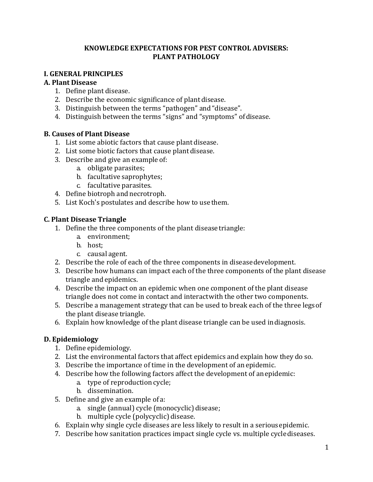## **KNOWLEDGE EXPECTATIONS FOR PEST CONTROL ADVISERS: PLANT PATHOLOGY**

## **I. GENERAL PRINCIPLES**

## **A. Plant Disease**

- 1. Define plant disease.
- 2. Describe the economic significance of plantdisease.
- 3. Distinguish between the terms "pathogen" and"disease".
- 4. Distinguish between the terms "signs" and "symptoms" ofdisease.

## **B. Causes of Plant Disease**

- 1. List some abiotic factors that cause plant disease.
- 2. List some biotic factors that cause plant disease.
- 3. Describe and give an example of:
	- a. obligate parasites;
	- b. facultative saprophytes;
	- c. facultative parasites.
- 4. Define biotroph and necrotroph.
- 5. List Koch's postulates and describe how to use them.

## **C. Plant Disease Triangle**

- 1. Define the three components of the plant disease triangle:
	- a. environment;
	- b. host;
	- c. causal agent.
- 2. Describe the role of each of the three components in diseasedevelopment.
- 3. Describe how humans can impact each of the three components of the plant disease triangle and epidemics.
- 4. Describe the impact on an epidemic when one component of the plant disease triangle does not come in contact and interactwith the other two components.
- 5. Describe a management strategy that can be used to break each of the three legsof the plant disease triangle.
- 6. Explain how knowledge of the plant disease triangle can be used indiagnosis.

## **D. Epidemiology**

- 1. Define epidemiology.
- 2. List the environmental factors that affect epidemics and explain how they do so.
- 3. Describe the importance of time in the development of anepidemic.
- 4. Describe how the following factors affect the development of anepidemic:
	- a. type of reproduction cycle;
	- b. dissemination.
- 5. Define and give an example of a:
	- a. single (annual) cycle (monocyclic)disease;
	- b. multiple cycle (polycyclic) disease.
- 6. Explain why single cycle diseases are less likely to result in a seriousepidemic.
- 7. Describe how sanitation practices impact single cycle vs. multiple cyclediseases.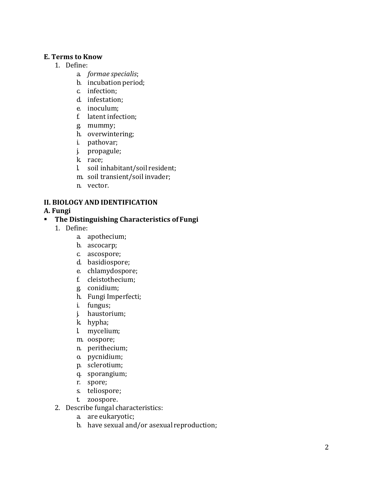## **E. Terms to Know**

- 1. Define:
	- a. *formae specialis*;
	- b. incubation period;
	- c. infection;
	- d. infestation;
	- e. inoculum;
	- f. latent infection;
	- g. mummy;
	- h. overwintering;
	- i. pathovar;
	- j. propagule;
	- k. race;
	- l. soil inhabitant/soil resident;
	- m. soil transient/soil invader;
	- n. vector.

#### **II. BIOLOGY AND IDENTIFICATION**

#### **A. Fungi**

#### **The Distinguishing Characteristics of Fungi**

- 1. Define:
	- a. apothecium;
	- b. ascocarp;
	- c. ascospore;
	- d. basidiospore;
	- e. chlamydospore;
	- f. cleistothecium;
	- g. conidium;
	- h. Fungi Imperfecti;
	- i. fungus;
	- j. haustorium;
	- k. hypha;
	- l. mycelium;
	- m. oospore;
	- n. perithecium;
	- o. pycnidium;
	- p. sclerotium;
	- q. sporangium;
	- r. spore;
	- s. teliospore;
	- t. zoospore.
- 2. Describe fungal characteristics:
	- a. are eukaryotic;
	- b. have sexual and/or asexual reproduction;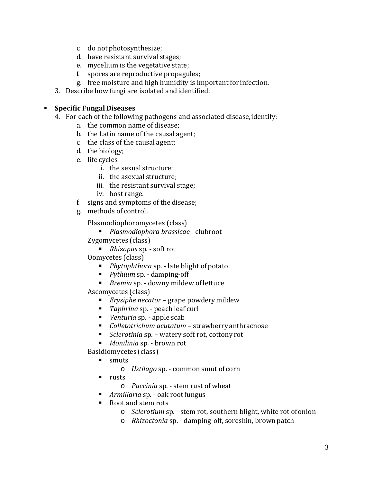- c. do not photosynthesize;
- d. have resistant survival stages;
- e. mycelium is the vegetative state;
- f. spores are reproductive propagules;
- g. free moisture and high humidity is important for infection.
- 3. Describe how fungi are isolated andidentified.

## **Specific Fungal Diseases**

- 4. For each of the following pathogens and associated disease,identify:
	- a. the common name of disease;
	- b. the Latin name of the causal agent;
	- c. the class of the causal agent;
	- d. the biology;
	- e. life cycles
		- i. the sexual structure;
		- ii. the asexual structure;
		- iii. the resistant survival stage;
		- iv. host range.
	- f. signs and symptoms of the disease;
	- g. methods of control.

Plasmodiophoromycetes (class)

*Plasmodiophora brassicae* - clubroot

Zygomycetes (class)

*Rhizopus* sp. - soft rot

Oomycetes (class)

- *Phytophthora* sp. late blight of potato
- *Pythium* sp. damping-off
- *Bremia* sp. downy mildew oflettuce

Ascomycetes (class)

- *Erysiphe necator*  grape powdery mildew
- *Taphrina* sp. peach leaf curl
- *Venturia* sp. apple scab
- *Colletotrichum acutatum*  strawberry anthracnose
- *Sclerotinia* sp. watery soft rot, cottony rot
- *Monilinia* sp. brown rot

Basidiomycetes (class)

- **smuts** 
	- o *Ustilago* sp. common smut of corn
- rusts
	- o *Puccinia* sp. stem rust of wheat
- *Armillaria* sp. oak root fungus
- . Root and stem rots
	- o *Sclerotium* sp. stem rot, southern blight, white rot ofonion
	- o *Rhizoctonia* sp. damping-off, soreshin, brown patch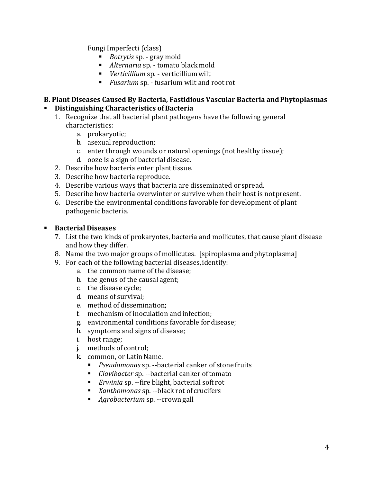Fungi Imperfecti (class)

- *Botrytis* sp. gray mold
- *Alternaria* sp. tomato blackmold
- *Verticillium* sp. verticilliumwilt
- *Fusarium* sp. fusarium wilt and root rot

#### **B. Plant Diseases Caused By Bacteria, Fastidious Vascular Bacteria andPhytoplasmas** . **Distinguishing Characteristics ofBacteria**

- 1. Recognize that all bacterial plant pathogens have the following general characteristics:
	- a. prokaryotic;
	- b. asexual reproduction;
	- c. enter through wounds or natural openings (not healthytissue);
	- d. ooze is a sign of bacterial disease.
- 2. Describe how bacteria enter planttissue.
- 3. Describe how bacteria reproduce.
- 4. Describe various ways that bacteria are disseminated or spread.
- 5. Describe how bacteria overwinter or survive when their host is notpresent.
- 6. Describe the environmental conditions favorable for development of plant pathogenic bacteria.

## **Bacterial Diseases**

- 7. List the two kinds of prokaryotes, bacteria and mollicutes, that cause plant disease and how they differ.
- 8. Name the two major groups of mollicutes. [spiroplasma andphytoplasma]
- 9. For each of the following bacterial diseases,identify:
	- a. the common name of the disease;
	- b. the genus of the causal agent;
	- c. the disease cycle;
	- d. means of survival;
	- e. method of dissemination;
	- f. mechanism of inoculation and infection;
	- g. environmental conditions favorable for disease;
	- h. symptoms and signs of disease;
	- i. host range;
	- j. methods of control;
	- k. common, or LatinName.
		- *Pseudomonas* sp. --bacterial canker of stone fruits
		- *Clavibacter* sp. --bacterial canker oftomato
		- *Erwinia* sp. --fire blight, bacterial soft rot
		- *Xanthomonas* sp. --black rot of crucifers
		- *Agrobacterium* sp. --crown gall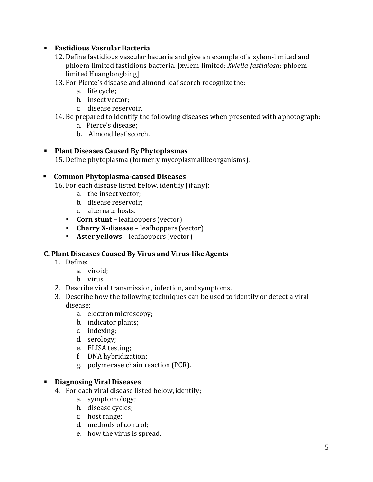## **Fastidious Vascular Bacteria**

- 12. Define fastidious vascular bacteria and give an example of a xylem-limited and phloem-limited fastidious bacteria. [xylem-limited: *Xylella fastidiosa*; phloemlimited Huanglongbing]
- 13. For Pierce's disease and almond leaf scorch recognizethe:
	- a. life cycle;
	- b. insect vector;
	- c. disease reservoir.
- 14. Be prepared to identify the following diseases when presented with aphotograph:
	- a. Pierce's disease;
	- b. Almond leaf scorch.

## **Plant Diseases Caused By Phytoplasmas**

15. Define phytoplasma (formerly mycoplasmalikeorganisms).

## **Common Phytoplasma-caused Diseases**

16. For each disease listed below, identify (if any):

- a. the insect vector;
- b. disease reservoir;
- c. alternate hosts.
- **Corn stunt** leafhoppers (vector)
- **Cherry X-disease**  leafhoppers (vector)
- **Aster yellows**  leafhoppers (vector)

## **C. Plant Diseases Caused By Virus and Virus-likeAgents**

- 1. Define:
	- a. viroid;
	- b. virus.
- 2. Describe viral transmission, infection, andsymptoms.
- 3. Describe how the following techniques can be used to identify or detect a viral disease:
	- a. electron microscopy;
	- b. indicator plants;
	- c. indexing;
	- d. serology;
	- e. ELISA testing;
	- f. DNA hybridization;
	- g. polymerase chain reaction (PCR).

## **Diagnosing Viral Diseases**

- 4. For each viral disease listed below, identify;
	- a. symptomology;
	- b. disease cycles;
	- c. host range;
	- d. methods of control;
	- e. how the virus is spread.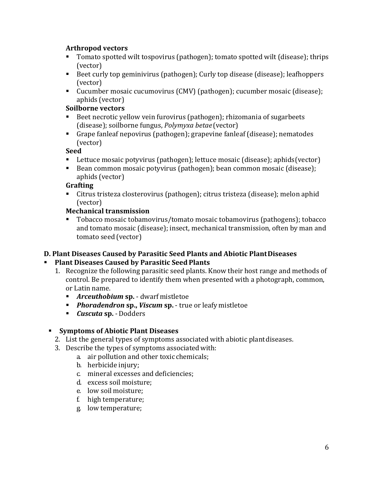## **Arthropod vectors**

- Tomato spotted wilt tospovirus (pathogen); tomato spotted wilt (disease); thrips (vector)
- Beet curly top geminivirus (pathogen); Curly top disease (disease); leafhoppers (vector)
- Cucumber mosaic cucumovirus (CMV) (pathogen); cucumber mosaic (disease); aphids (vector)

# **Soilborne vectors**

- Beet necrotic yellow vein furovirus (pathogen); rhizomania of sugarbeets (disease); soilborne fungus, *Polymyxa betae* (vector)
- Grape fanleaf nepovirus (pathogen); grapevine fanleaf (disease); nematodes (vector)

## **Seed**

- Lettuce mosaic potyvirus (pathogen); lettuce mosaic (disease); aphids(vector)
- Bean common mosaic potyvirus (pathogen); bean common mosaic (disease); aphids (vector)

## **Grafting**

 Citrus tristeza closterovirus (pathogen); citrus tristeza (disease); melon aphid (vector)

## **Mechanical transmission**

 Tobacco mosaic tobamovirus/tomato mosaic tobamovirus (pathogens); tobacco and tomato mosaic (disease); insect, mechanical transmission, often by man and tomato seed (vector)

## **D. Plant Diseases Caused by Parasitic Seed Plants and Abiotic PlantDiseases**

#### . **Plant Diseases Caused by Parasitic Seed Plants**

- 1. Recognize the following parasitic seed plants. Know their host range and methods of control. Be prepared to identify them when presented with a photograph, common, or Latin name.
	- *Arceuthobium* **sp.**  dwarf mistletoe
	- *Phoradendron* **sp.,** *Viscum* **sp.**  true or leafy mistletoe
	- *Cuscuta* **sp.**  Dodders

## **Symptoms of Abiotic Plant Diseases**

- 2. List the general types of symptoms associated with abiotic plant diseases.
- 3. Describe the types of symptoms associatedwith:
	- a. air pollution and other toxic chemicals;
	- b. herbicide injury;
	- c. mineral excesses and deficiencies;
	- d. excess soil moisture;
	- e. low soil moisture;
	- f. high temperature;
	- g. low temperature;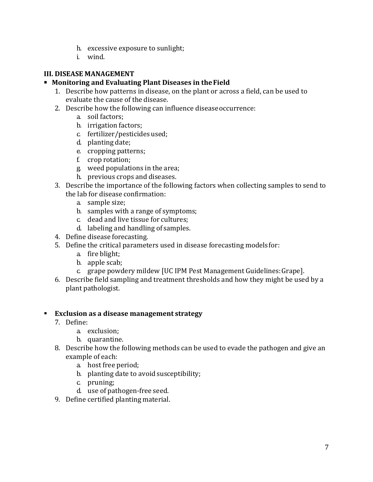- h. excessive exposure to sunlight;
- i. wind.

## **III. DISEASE MANAGEMENT**

## **Monitoring and Evaluating Plant Diseases in theField**

- 1. Describe how patterns in disease, on the plant or across a field, can be used to evaluate the cause of the disease.
- 2. Describe how the following can influence diseaseoccurrence:
	- a. soil factors;
	- b. irrigation factors;
	- c. fertilizer/pesticides used;
	- d. planting date;
	- e. cropping patterns;
	- f. crop rotation;
	- g. weed populations in the area;
	- h. previous crops and diseases.
- 3. Describe the importance of the following factors when collecting samples to send to the lab for disease confirmation:
	- a. sample size;
	- b. samples with a range of symptoms;
	- c. dead and live tissue for cultures;
	- d. labeling and handling of samples.
- 4. Define disease forecasting.
- 5. Define the critical parameters used in disease forecasting modelsfor:
	- a. fire blight;
	- b. apple scab;
	- c. grape powdery mildew [UC IPM Pest Management Guidelines:Grape].
- 6. Describe field sampling and treatment thresholds and how they might be used by a plant pathologist.

## **Exclusion as a disease management strategy**

- 7. Define:
	- a. exclusion;
	- b. quarantine.
- 8. Describe how the following methods can be used to evade the pathogen and give an example of each:
	- a. host free period;
	- b. planting date to avoid susceptibility;
	- c. pruning;
	- d. use of pathogen-free seed.
- 9. Define certified planting material.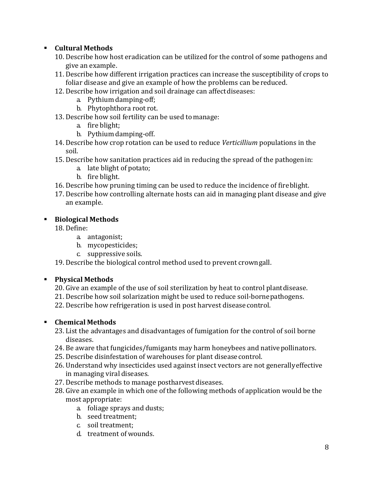## **Cultural Methods**

- 10. Describe how host eradication can be utilized for the control of some pathogens and give an example.
- 11. Describe how different irrigation practices can increase the susceptibility of crops to foliar disease and give an example of how the problems can bereduced.
- 12. Describe how irrigation and soil drainage can affectdiseases:
	- a. Pythium damping-off;
	- b. Phytophthora root rot.
- 13. Describe how soil fertility can be used tomanage:
	- a. fire blight;
	- b. Pythium damping-off.
- 14. Describe how crop rotation can be used to reduce *Verticillium* populations in the soil.
- 15. Describe how sanitation practices aid in reducing the spread of the pathogenin:
	- a. late blight of potato;
	- b. fire blight.
- 16. Describe how pruning timing can be used to reduce the incidence of fireblight.
- 17. Describe how controlling alternate hosts can aid in managing plant disease and give an example.

## **Biological Methods**

18. Define:

- a. antagonist;
- b. mycopesticides;
- c. suppressive soils.

19. Describe the biological control method used to prevent crowngall.

## **Physical Methods**

- 20. Give an example of the use of soil sterilization by heat to control plantdisease.
- 21. Describe how soil solarization might be used to reduce soil-bornepathogens.
- 22. Describe how refrigeration is used in post harvest diseasecontrol.

## **Chemical Methods**

- 23. List the advantages and disadvantages of fumigation for the control of soil borne diseases.
- 24. Be aware that fungicides/fumigants may harm honeybees and nativepollinators.
- 25. Describe disinfestation of warehouses for plant diseasecontrol.
- 26. Understand why insecticides used against insect vectors are not generallyeffective in managing viral diseases.
- 27. Describe methods to manage postharvest diseases.
- 28. Give an example in which one of the following methods of application would be the most appropriate:
	- a. foliage sprays and dusts;
	- b. seed treatment;
	- c. soil treatment;
	- d. treatment of wounds.